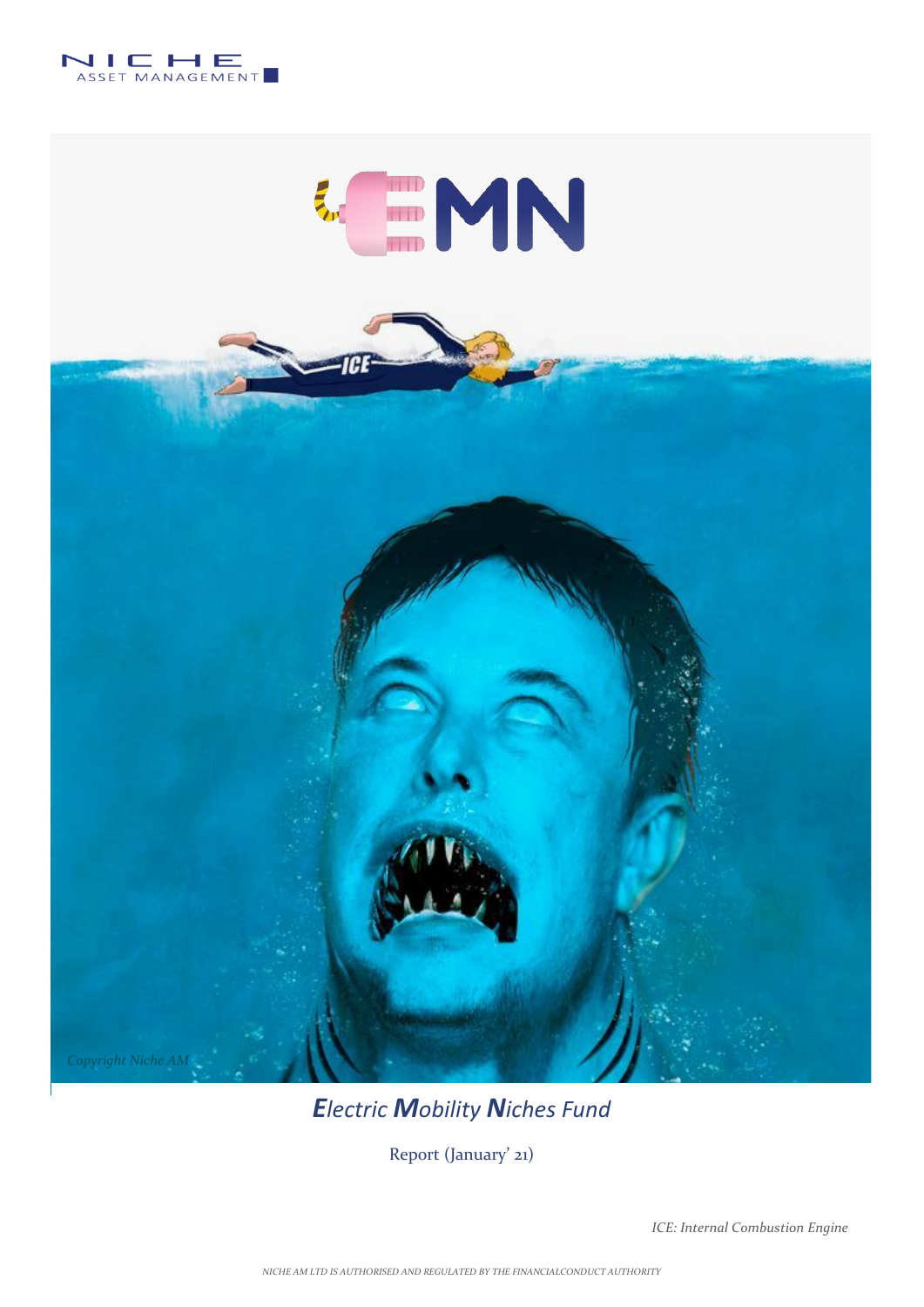



## *Electric Mobility Niches Fund*

Report (January' 21)

*ICE: Internal Combustion Engine*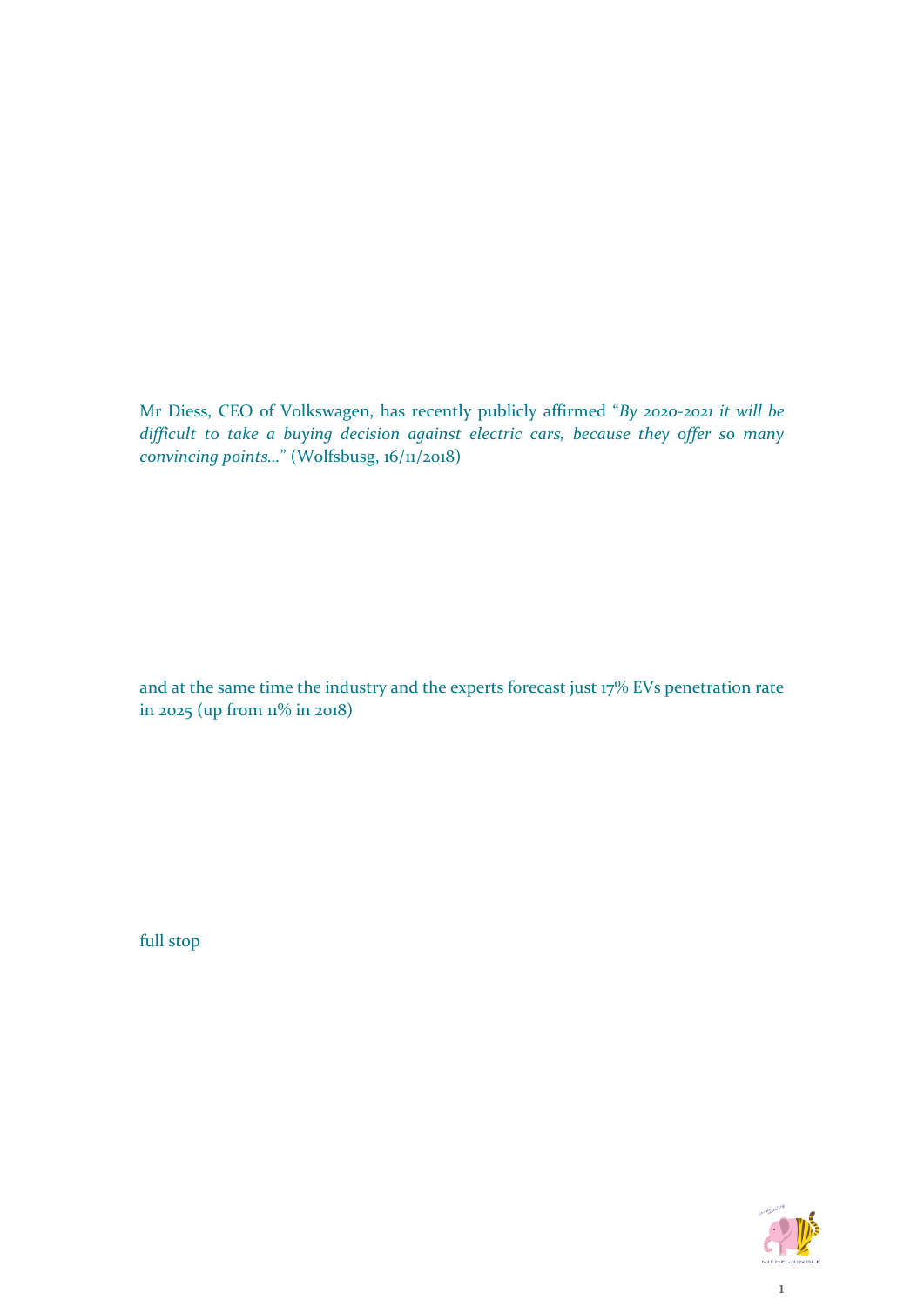Mr Diess, CEO of Volkswagen, has recently publicly affirmed "*By 2020-2021 it will be difficult to take a buying decision against electric cars, because they offer so many convincing points…*" (Wolfsbusg, 16/11/2018)

and at the same time the industry and the experts forecast just 17% EVs penetration rate in 2025 (up from  $11\%$  in 2018)

full stop

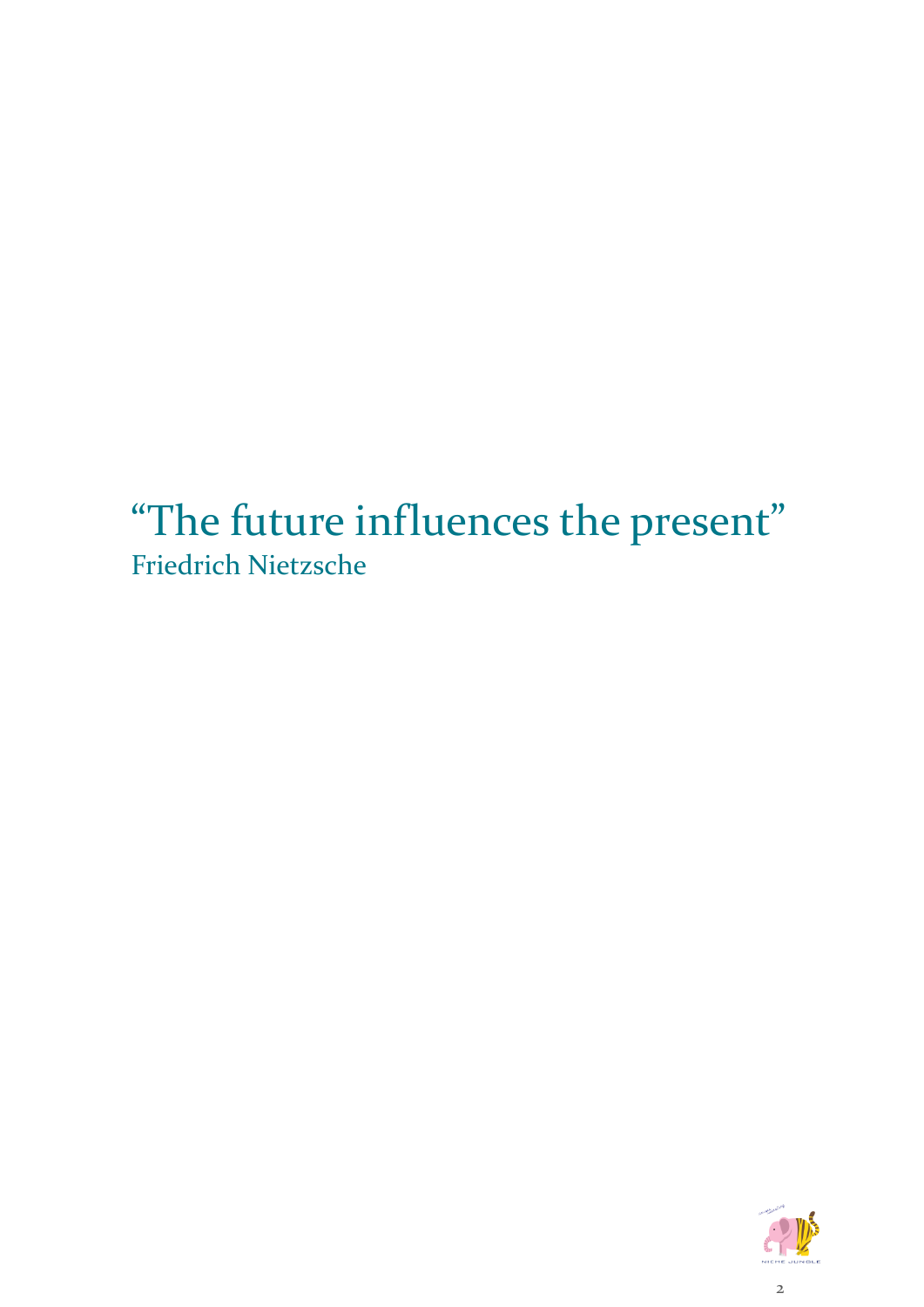"The future influences the present" Friedrich Nietzsche

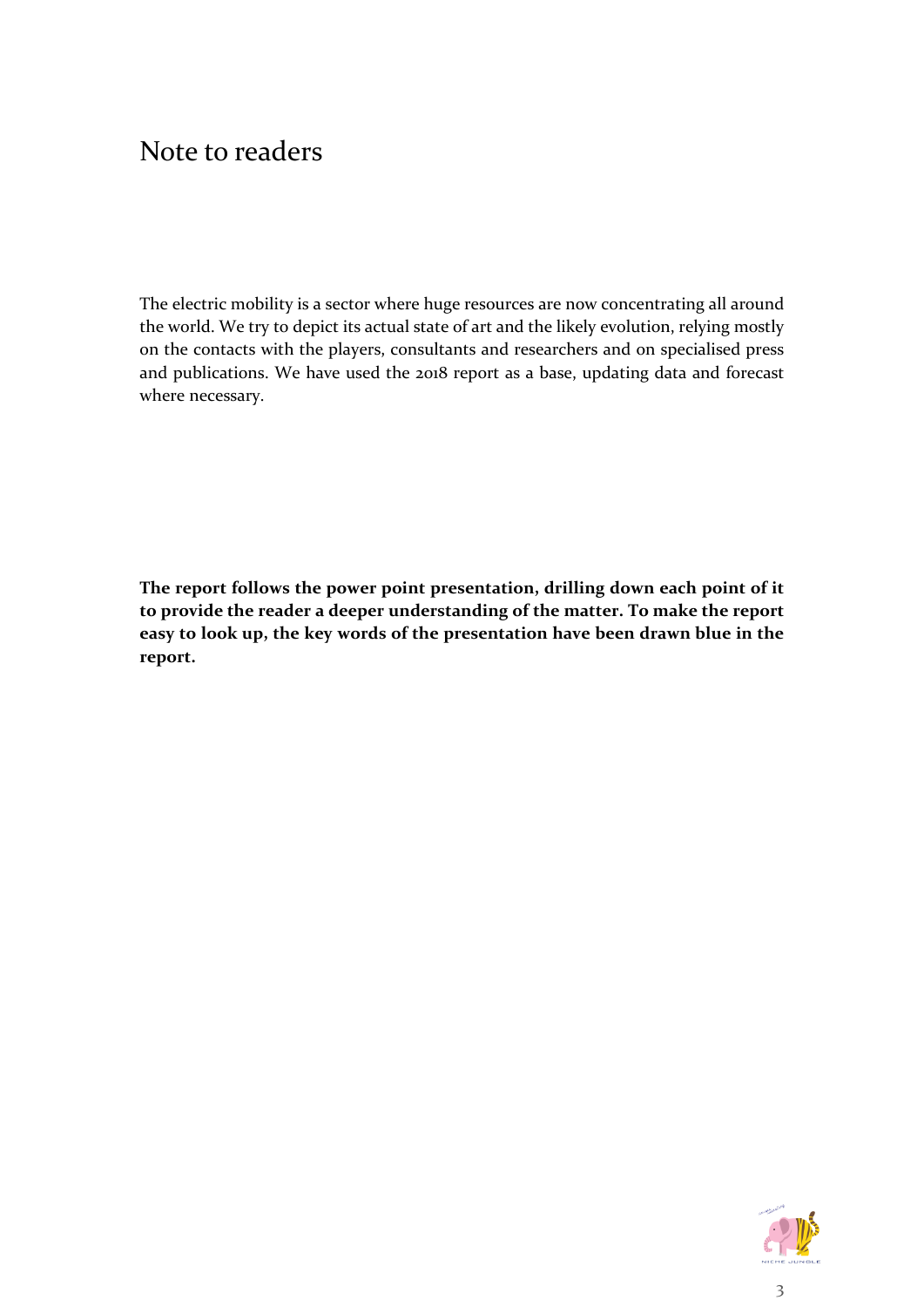## Note to readers

The electric mobility is a sector where huge resources are now concentrating all around the world. We try to depict its actual state of art and the likely evolution, relying mostly on the contacts with the players, consultants and researchers and on specialised press and publications. We have used the 2018 report as a base, updating data and forecast where necessary.

**The report follows the power point presentation, drilling down each point of it to provide the reader a deeper understanding of the matter. To make the report easy to look up, the key words of the presentation have been drawn blue in the report.** 

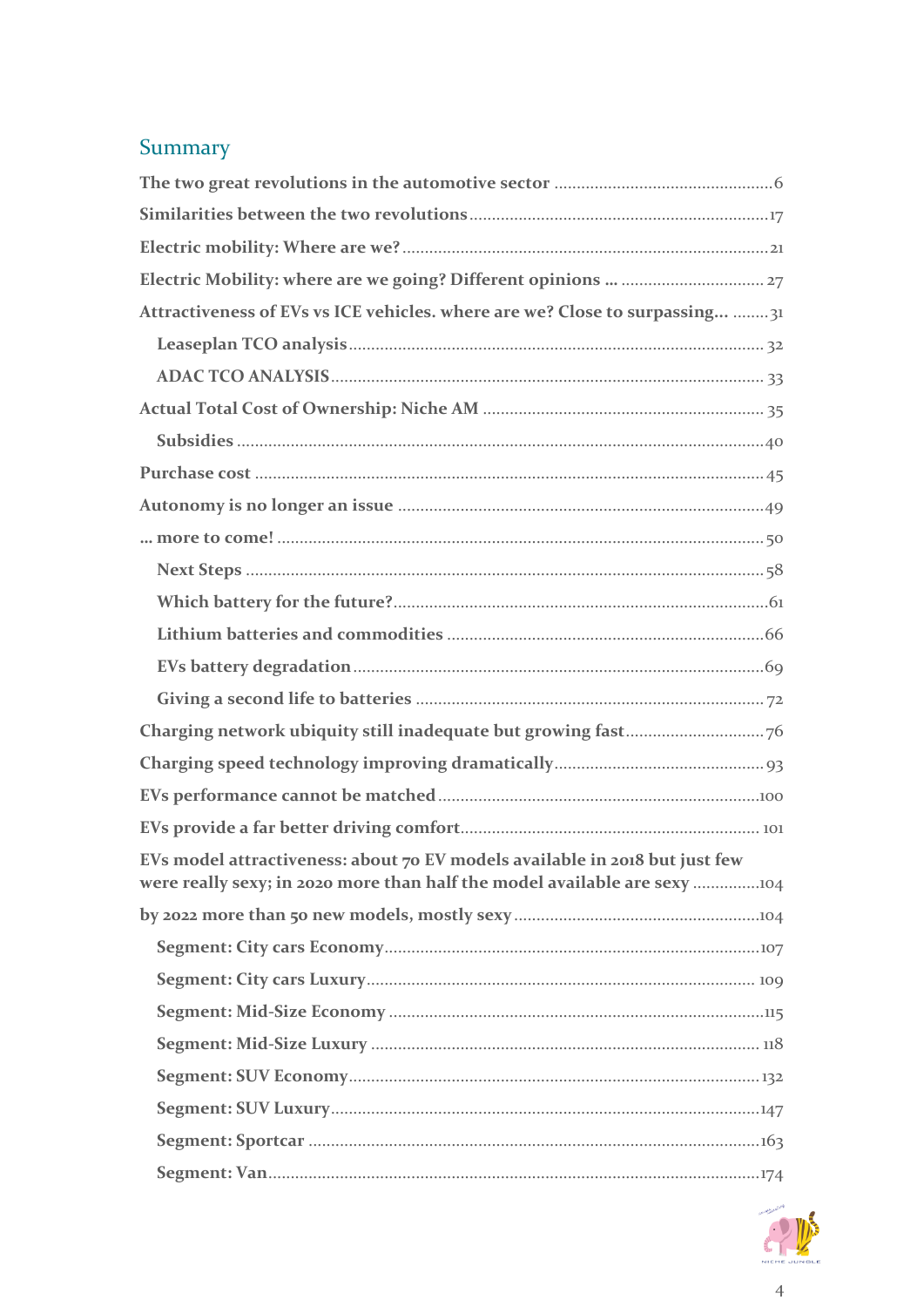## Summary

| Attractiveness of EVs vs ICE vehicles. where are we? Close to surpassing  31                                                                             |
|----------------------------------------------------------------------------------------------------------------------------------------------------------|
|                                                                                                                                                          |
|                                                                                                                                                          |
|                                                                                                                                                          |
|                                                                                                                                                          |
|                                                                                                                                                          |
|                                                                                                                                                          |
|                                                                                                                                                          |
|                                                                                                                                                          |
|                                                                                                                                                          |
|                                                                                                                                                          |
|                                                                                                                                                          |
|                                                                                                                                                          |
|                                                                                                                                                          |
|                                                                                                                                                          |
|                                                                                                                                                          |
|                                                                                                                                                          |
| EVs model attractiveness: about 70 EV models available in 2018 but just few<br>were really sexy; in 2020 more than half the model available are sexy 104 |
|                                                                                                                                                          |
|                                                                                                                                                          |
|                                                                                                                                                          |
|                                                                                                                                                          |
|                                                                                                                                                          |
|                                                                                                                                                          |
|                                                                                                                                                          |
|                                                                                                                                                          |
|                                                                                                                                                          |